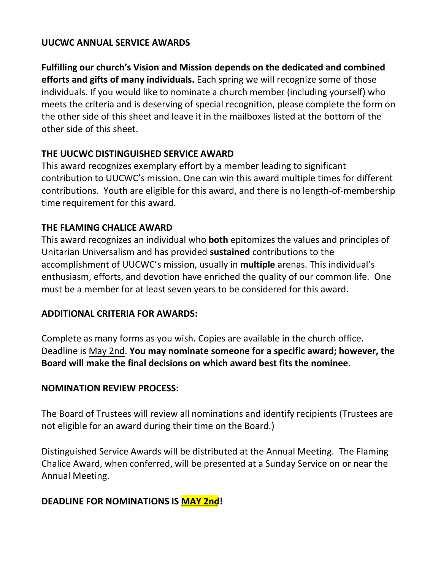### **UUCWC ANNUAL SERVICE AWARDS**

**Fulfilling our church's Vision and Mission depends on the dedicated and combined efforts and gifts of many individuals.** Each spring we will recognize some of those individuals. If you would like to nominate a church member (including yourself) who meets the criteria and is deserving of special recognition, please complete the form on the other side of this sheet and leave it in the mailboxes listed at the bottom of the other side of this sheet.

## **THE UUCWC DISTINGUISHED SERVICE AWARD**

This award recognizes exemplary effort by a member leading to significant contribution to UUCWC's mission**.** One can win this award multiple times for different contributions. Youth are eligible for this award, and there is no length-of-membership time requirement for this award.

### **THE FLAMING CHALICE AWARD**

This award recognizes an individual who **both** epitomizes the values and principles of Unitarian Universalism and has provided **sustained** contributions to the accomplishment of UUCWC's mission, usually in **multiple** arenas. This individual's enthusiasm, efforts, and devotion have enriched the quality of our common life. One must be a member for at least seven years to be considered for this award.

### **ADDITIONAL CRITERIA FOR AWARDS:**

Complete as many forms as you wish. Copies are available in the church office. Deadline is May 2nd. **You may nominate someone for a specific award; however, the Board will make the final decisions on which award best fits the nominee.** 

### **NOMINATION REVIEW PROCESS:**

The Board of Trustees will review all nominations and identify recipients (Trustees are not eligible for an award during their time on the Board.)

Distinguished Service Awards will be distributed at the Annual Meeting. The Flaming Chalice Award, when conferred, will be presented at a Sunday Service on or near the Annual Meeting.

# **DEADLINE FOR NOMINATIONS IS MAY 2nd!**